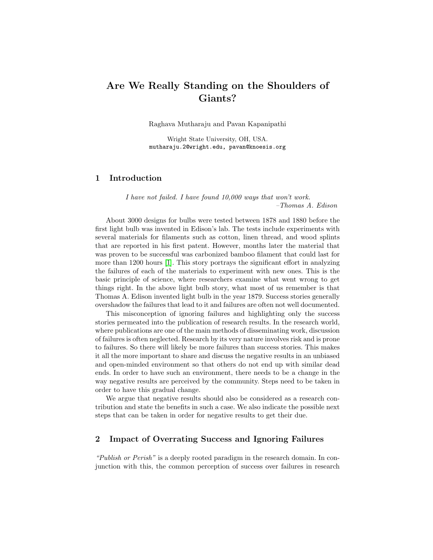# Are We Really Standing on the Shoulders of Giants?

Raghava Mutharaju and Pavan Kapanipathi

Wright State University, OH, USA. mutharaju.2@wright.edu, pavan@knoesis.org

### 1 Introduction

I have not failed. I have found 10,000 ways that won't work. –Thomas A. Edison

About 3000 designs for bulbs were tested between 1878 and 1880 before the first light bulb was invented in Edison's lab. The tests include experiments with several materials for filaments such as cotton, linen thread, and wood splints that are reported in his first patent. However, months later the material that was proven to be successful was carbonized bamboo filament that could last for more than 1200 hours [\[1\]](#page-3-0). This story portrays the significant effort in analyzing the failures of each of the materials to experiment with new ones. This is the basic principle of science, where researchers examine what went wrong to get things right. In the above light bulb story, what most of us remember is that Thomas A. Edison invented light bulb in the year 1879. Success stories generally overshadow the failures that lead to it and failures are often not well documented.

This misconception of ignoring failures and highlighting only the success stories permeated into the publication of research results. In the research world, where publications are one of the main methods of disseminating work, discussion of failures is often neglected. Research by its very nature involves risk and is prone to failures. So there will likely be more failures than success stories. This makes it all the more important to share and discuss the negative results in an unbiased and open-minded environment so that others do not end up with similar dead ends. In order to have such an environment, there needs to be a change in the way negative results are perceived by the community. Steps need to be taken in order to have this gradual change.

We argue that negative results should also be considered as a research contribution and state the benefits in such a case. We also indicate the possible next steps that can be taken in order for negative results to get their due.

# <span id="page-0-0"></span>2 Impact of Overrating Success and Ignoring Failures

"Publish or Perish" is a deeply rooted paradigm in the research domain. In conjunction with this, the common perception of success over failures in research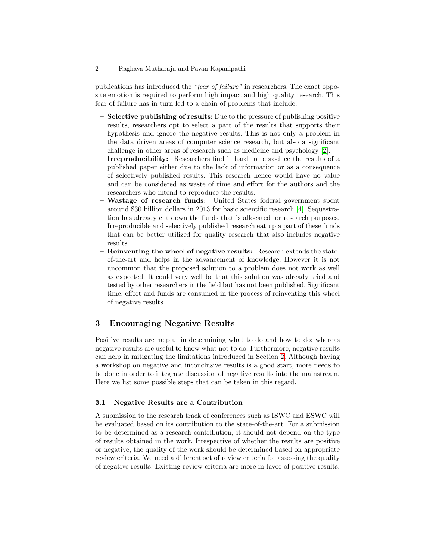#### 2 Raghava Mutharaju and Pavan Kapanipathi

publications has introduced the "fear of failure" in researchers. The exact opposite emotion is required to perform high impact and high quality research. This fear of failure has in turn led to a chain of problems that include:

- Selective publishing of results: Due to the pressure of publishing positive results, researchers opt to select a part of the results that supports their hypothesis and ignore the negative results. This is not only a problem in the data driven areas of computer science research, but also a significant challenge in other areas of research such as medicine and psychology [\[2\]](#page-3-1).
- Irreproducibility: Researchers find it hard to reproduce the results of a published paper either due to the lack of information or as a consequence of selectively published results. This research hence would have no value and can be considered as waste of time and effort for the authors and the researchers who intend to reproduce the results.
- Wastage of research funds: United States federal government spent around \$30 billion dollars in 2013 for basic scientific research [\[4\]](#page-3-2). Sequestration has already cut down the funds that is allocated for research purposes. Irreproducible and selectively published research eat up a part of these funds that can be better utilized for quality research that also includes negative results.
- Reinventing the wheel of negative results: Research extends the stateof-the-art and helps in the advancement of knowledge. However it is not uncommon that the proposed solution to a problem does not work as well as expected. It could very well be that this solution was already tried and tested by other researchers in the field but has not been published. Significant time, effort and funds are consumed in the process of reinventing this wheel of negative results.

# 3 Encouraging Negative Results

Positive results are helpful in determining what to do and how to do; whereas negative results are useful to know what not to do. Furthermore, negative results can help in mitigating the limitations introduced in Section [2.](#page-0-0) Although having a workshop on negative and inconclusive results is a good start, more needs to be done in order to integrate discussion of negative results into the mainstream. Here we list some possible steps that can be taken in this regard.

#### 3.1 Negative Results are a Contribution

A submission to the research track of conferences such as ISWC and ESWC will be evaluated based on its contribution to the state-of-the-art. For a submission to be determined as a research contribution, it should not depend on the type of results obtained in the work. Irrespective of whether the results are positive or negative, the quality of the work should be determined based on appropriate review criteria. We need a different set of review criteria for assessing the quality of negative results. Existing review criteria are more in favor of positive results.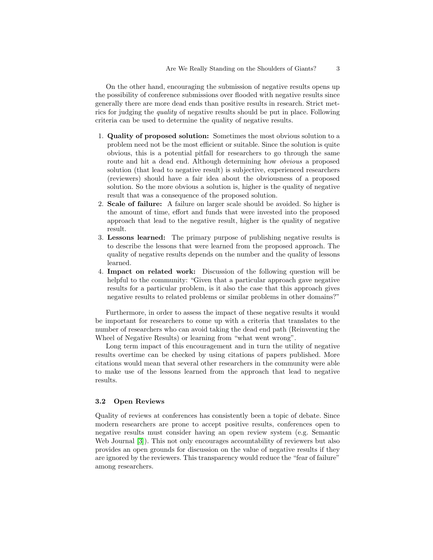On the other hand, encouraging the submission of negative results opens up the possibility of conference submissions over flooded with negative results since generally there are more dead ends than positive results in research. Strict metrics for judging the quality of negative results should be put in place. Following criteria can be used to determine the quality of negative results.

- 1. Quality of proposed solution: Sometimes the most obvious solution to a problem need not be the most efficient or suitable. Since the solution is quite obvious, this is a potential pitfall for researchers to go through the same route and hit a dead end. Although determining how obvious a proposed solution (that lead to negative result) is subjective, experienced researchers (reviewers) should have a fair idea about the obviousness of a proposed solution. So the more obvious a solution is, higher is the quality of negative result that was a consequence of the proposed solution.
- 2. Scale of failure: A failure on larger scale should be avoided. So higher is the amount of time, effort and funds that were invested into the proposed approach that lead to the negative result, higher is the quality of negative result.
- 3. Lessons learned: The primary purpose of publishing negative results is to describe the lessons that were learned from the proposed approach. The quality of negative results depends on the number and the quality of lessons learned.
- 4. Impact on related work: Discussion of the following question will be helpful to the community: "Given that a particular approach gave negative results for a particular problem, is it also the case that this approach gives negative results to related problems or similar problems in other domains?"

Furthermore, in order to assess the impact of these negative results it would be important for researchers to come up with a criteria that translates to the number of researchers who can avoid taking the dead end path (Reinventing the Wheel of Negative Results) or learning from "what went wrong".

Long term impact of this encouragement and in turn the utility of negative results overtime can be checked by using citations of papers published. More citations would mean that several other researchers in the community were able to make use of the lessons learned from the approach that lead to negative results.

#### 3.2 Open Reviews

Quality of reviews at conferences has consistently been a topic of debate. Since modern researchers are prone to accept positive results, conferences open to negative results must consider having an open review system (e.g. Semantic Web Journal [\[3\]](#page-3-3)). This not only encourages accountability of reviewers but also provides an open grounds for discussion on the value of negative results if they are ignored by the reviewers. This transparency would reduce the "fear of failure" among researchers.